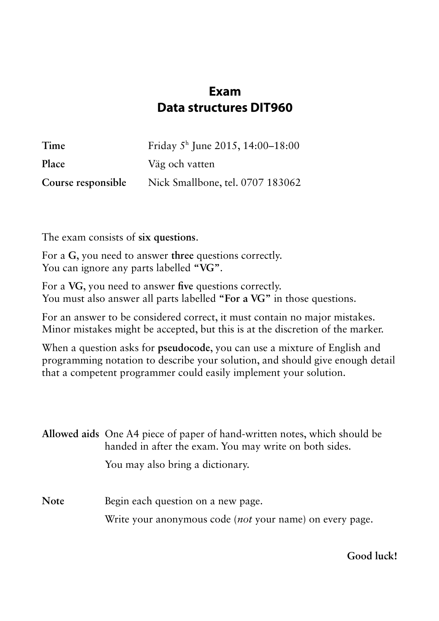## **Exam Data structures DIT960**

| Time               | Friday $5^{\text{h}}$ June 2015, 14:00–18:00 |
|--------------------|----------------------------------------------|
| Place              | Väg och vatten                               |
| Course responsible | Nick Smallbone, tel. 0707 183062             |

The exam consists of **six questions**.

For a **G**, you need to answer **three** questions correctly. You can ignore any parts labelled **"VG"**.

For a **VG**, you need to answer **five** questions correctly. You must also answer all parts labelled **"For a VG"** in those questions.

For an answer to be considered correct, it must contain no major mistakes. Minor mistakes might be accepted, but this is at the discretion of the marker.

When a question asks for **pseudocode**, you can use a mixture of English and programming notation to describe your solution, and should give enough detail that a competent programmer could easily implement your solution.

|             | Allowed aids One A4 piece of paper of hand-written notes, which should be<br>handed in after the exam. You may write on both sides. |  |  |  |  |  |  |
|-------------|-------------------------------------------------------------------------------------------------------------------------------------|--|--|--|--|--|--|
|             | You may also bring a dictionary.                                                                                                    |  |  |  |  |  |  |
| <b>Note</b> | Begin each question on a new page.                                                                                                  |  |  |  |  |  |  |

Write your anonymous code (*not* your name) on every page.

**Good luck!**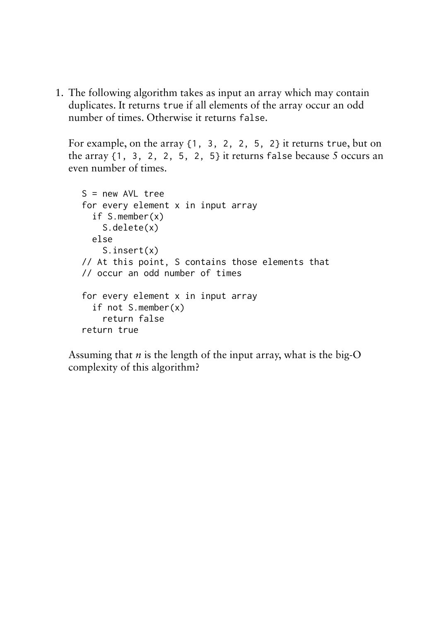1. The following algorithm takes as input an array which may contain duplicates. It returns true if all elements of the array occur an odd number of times. Otherwise it returns false.

For example, on the array {1, 3, 2, 2, 5, 2} it returns true, but on the array  $\{1, 3, 2, 2, 5, 2, 5\}$  it returns false because 5 occurs an even number of times.

```
S = new AVL treefor every element x in input array
   if S.member(x)
     S.delete(x)
   else
     S.insert(x)
// At this point, S contains those elements that
// occur an odd number of times
for every element x in input array
   if not S.member(x)
     return false
return true
```
Assuming that *n* is the length of the input array, what is the big-O complexity of this algorithm?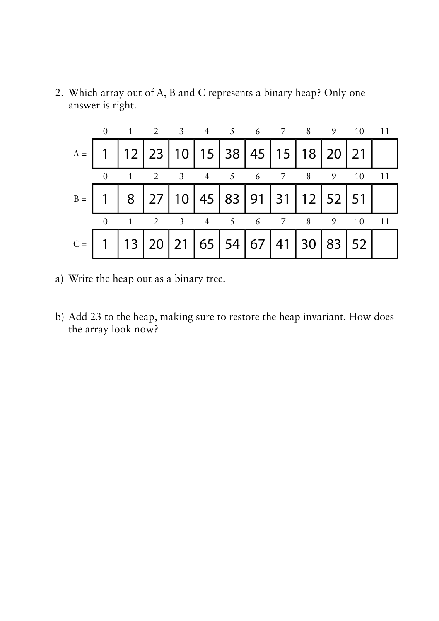2. Which array out of A, B and C represents a binary heap? Only one answer is right.

|  | 0 1 2 3 4 5 6 7 8 9 10 11                                   |  |  |  |  |  |
|--|-------------------------------------------------------------|--|--|--|--|--|
|  | $A =$   1   12   23   10   15   38   45   15   18   20   21 |  |  |  |  |  |
|  | 0 1 2 3 4 5 6 7 8 9 10 11                                   |  |  |  |  |  |
|  | $B =   1   8   27   10   45   83   91   31   12   52   51$  |  |  |  |  |  |
|  | 0 1 2 3 4 5 6 7 8 9 10 11                                   |  |  |  |  |  |
|  | C =   1   13   20   21   65   54   67   41   30   83   52   |  |  |  |  |  |

- a) Write the heap out as a binary tree.
- b) Add 23 to the heap, making sure to restore the heap invariant. How does the array look now?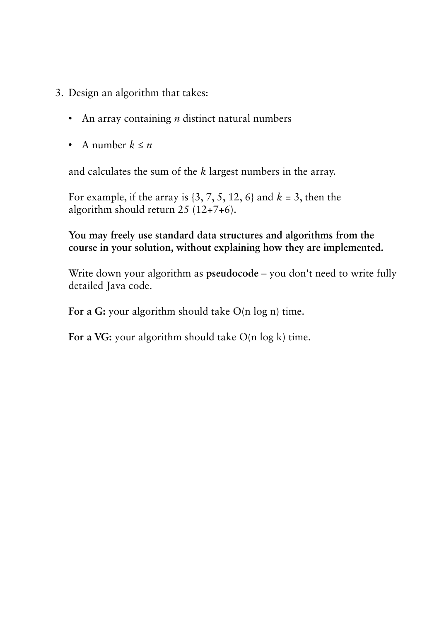- 3. Design an algorithm that takes:
	- An array containing *n* distinct natural numbers
	- A number  $k \leq n$

and calculates the sum of the *k* largest numbers in the array.

For example, if the array is {3, 7, 5, 12, 6} and *k* = 3, then the algorithm should return 25 (12+7+6).

## **You may freely use standard data structures and algorithms from the course in your solution, without explaining how they are implemented.**

Write down your algorithm as **pseudocode** – you don't need to write fully detailed Java code.

For a G: your algorithm should take O(n log n) time.

For a VG: your algorithm should take O(n log k) time.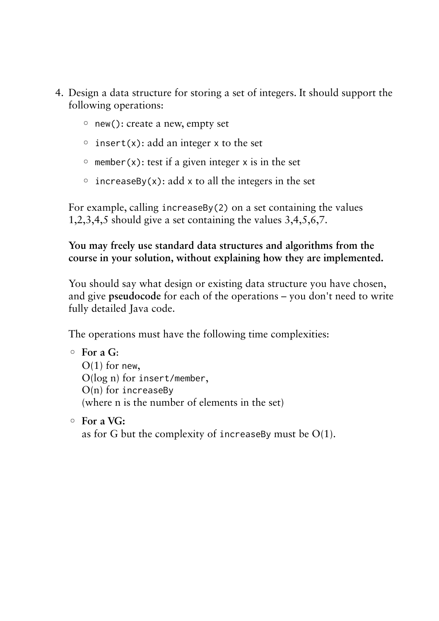- 4. Design a data structure for storing a set of integers. It should support the following operations:
	- new(): create a new, empty set
	- $\circ$  insert(x): add an integer x to the set
	- $\circ$  member(x): test if a given integer x is in the set
	- $\circ$  increaseBy(x): add x to all the integers in the set

For example, calling increaseBy(2) on a set containing the values 1,2,3,4,5 should give a set containing the values 3,4,5,6,7.

## **You may freely use standard data structures and algorithms from the course in your solution, without explaining how they are implemented.**

You should say what design or existing data structure you have chosen, and give **pseudocode** for each of the operations – you don't need to write fully detailed Java code.

The operations must have the following time complexities:

```
◦ For a G:
```
 $O(1)$  for new, O(log n) for insert/member,  $O(n)$  for increaseBy (where n is the number of elements in the set)

◦ **For a VG:**

as for G but the complexity of increaseBy must be  $O(1)$ .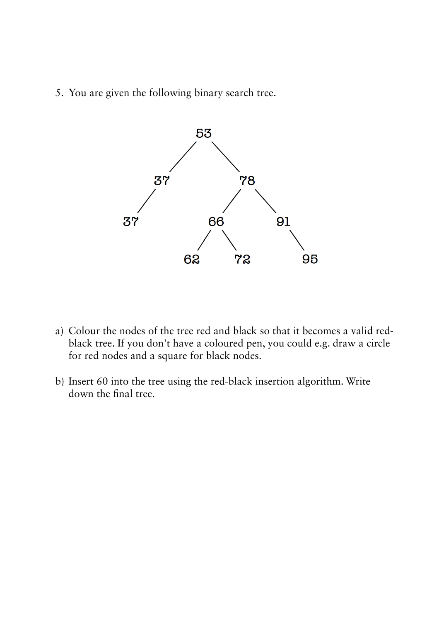5. You are given the following binary search tree.



- a) Colour the nodes of the tree red and black so that it becomes a valid redblack tree. If you don't have a coloured pen, you could e.g. draw a circle for red nodes and a square for black nodes.
- b) Insert 60 into the tree using the red-black insertion algorithm. Write down the final tree.